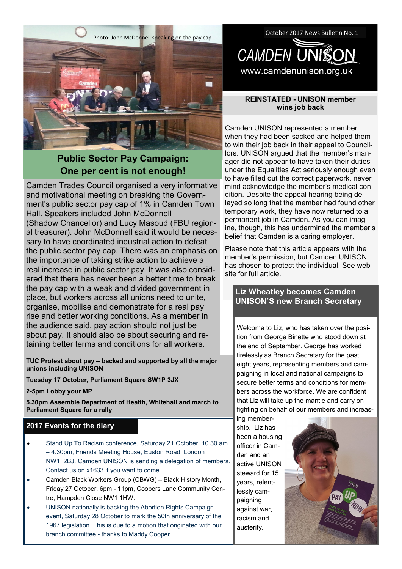

# **Public Sector Pay Campaign: One per cent is not enough!**

Camden Trades Council organised a very informative and motivational meeting on breaking the Government's public sector pay cap of 1% in Camden Town Hall. Speakers included John McDonnell (Shadow Chancellor) and Lucy Masoud (FBU regional treasurer). John McDonnell said it would be necessary to have coordinated industrial action to defeat the public sector pay cap. There was an emphasis on the importance of taking strike action to achieve a real increase in public sector pay. It was also considered that there has never been a better time to break the pay cap with a weak and divided government in place, but workers across all unions need to unite, organise, mobilise and demonstrate for a real pay rise and better working conditions. As a member in the audience said, pay action should not just be about pay. It should also be about securing and retaining better terms and conditions for all workers.

**TUC Protest about pay – backed and supported by all the major unions including UNISON**

**2017 Events for your diary Tuesday 17 October, Parliament Square SW1P 3JX**

**2-5pm Lobby your MP**

**5.30pm Assemble Department of Health, Whitehall and march to Parliament Square for a rally**

## **2017 Events for the diary**

- Stand Up To Racism conference, Saturday 21 October, 10.30 am – 4.30pm, Friends Meeting House, Euston Road, London NW1 2BJ. Camden UNISON is sending a delegation of members. Contact us on x1633 if you want to come.
- Camden Black Workers Group (CBWG) Black History Month, Friday 27 October, 6pm - 11pm, Coopers Lane Community Centre, Hampden Close NW1 1HW.
- UNISON nationally is backing the Abortion Rights Campaign event, Saturday 28 October to mark the 50th anniversary of the 1967 legislation. This is due to a motion that originated with our branch committee - thanks to Maddy Cooper.

October 2017 News Bulletin No. 1 **CAMDEN UNISON** www.camdenunison.org.uk

## **REINSTATED - UNISON member wins job back**

Camden UNISON represented a member when they had been sacked and helped them to win their job back in their appeal to Councillors. UNISON argued that the member's manager did not appear to have taken their duties under the Equalities Act seriously enough even to have filled out the correct paperwork, never mind acknowledge the member's medical condition. Despite the appeal hearing being delayed so long that the member had found other temporary work, they have now returned to a permanent job in Camden. As you can imagine, though, this has undermined the member's belief that Camden is a caring employer.

Please note that this article appears with the member's permission, but Camden UNISON has chosen to protect the individual. See website for full article.

## **Liz Wheatley becomes Camden UNISON'S new Branch Secretary**

Welcome to Liz, who has taken over the position from George Binette who stood down at the end of September. George has worked tirelessly as Branch Secretary for the past eight years, representing members and campaigning in local and national campaigns to secure better terms and conditions for members across the workforce. We are confident that Liz will take up the mantle and carry on fighting on behalf of our members and increas-

ing membership. Liz has been a housing officer in Camden and an active UNISON steward for 15 years, relentlessly campaigning against war, racism and austerity.